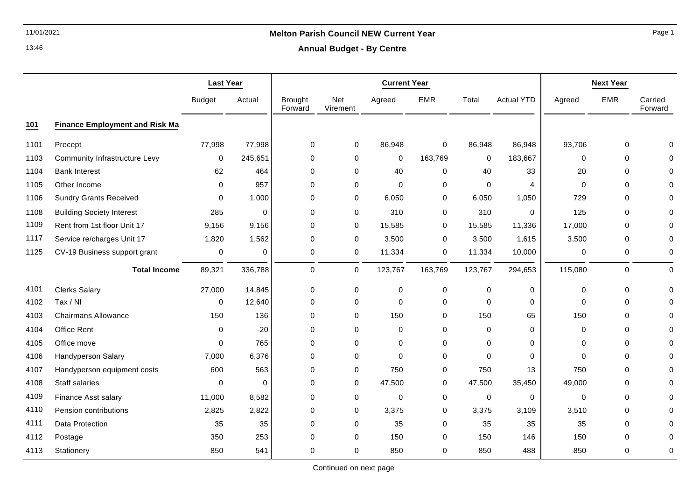# 11/01/2021 **Melton Parish Council NEW Current Year**

**Annual Budget - By Centre**

|      |                                       | <b>Last Year</b> |         |                           |                 | <b>Current Year</b> | <b>Next Year</b> |             |                   |          |             |                    |
|------|---------------------------------------|------------------|---------|---------------------------|-----------------|---------------------|------------------|-------------|-------------------|----------|-------------|--------------------|
|      |                                       | <b>Budget</b>    | Actual  | <b>Brought</b><br>Forward | Net<br>Virement | Agreed              | <b>EMR</b>       | Total       | <b>Actual YTD</b> | Agreed   | <b>EMR</b>  | Carried<br>Forward |
| 101  | <b>Finance Employment and Risk Ma</b> |                  |         |                           |                 |                     |                  |             |                   |          |             |                    |
| 1101 | Precept                               | 77,998           | 77,998  | $\mathbf 0$               | 0               | 86,948              | 0                | 86,948      | 86,948            | 93,706   | 0           | 0                  |
| 1103 | <b>Community Infrastructure Levy</b>  | $\mathbf 0$      | 245,651 | $\mathbf 0$               | $\mathbf 0$     | 0                   | 163,769          | 0           | 183,667           | 0        | $\mathbf 0$ | 0                  |
| 1104 | <b>Bank Interest</b>                  | 62               | 464     | $\mathbf 0$               | $\mathbf 0$     | 40                  | 0                | 40          | 33                | 20       | 0           | 0                  |
| 1105 | Other Income                          | $\Omega$         | 957     | $\Omega$                  | 0               | $\Omega$            | 0                | $\mathbf 0$ | 4                 | $\Omega$ | 0           | $\Omega$           |
| 1106 | <b>Sundry Grants Received</b>         | 0                | 1,000   | $\mathbf 0$               | $\mathbf 0$     | 6,050               | 0                | 6,050       | 1,050             | 729      | 0           | 0                  |
| 1108 | <b>Building Society Interest</b>      | 285              | 0       | 0                         | $\mathbf 0$     | 310                 | 0                | 310         | 0                 | 125      | 0           | $\Omega$           |
| 1109 | Rent from 1st floor Unit 17           | 9,156            | 9,156   | $\Omega$                  | 0               | 15,585              | 0                | 15,585      | 11,336            | 17,000   | 0           | $\Omega$           |
| 1117 | Service re/charges Unit 17            | 1,820            | 1,562   | 0                         | 0               | 3,500               | 0                | 3,500       | 1,615             | 3,500    | 0           | 0                  |
| 1125 | CV-19 Business support grant          | $\pmb{0}$        | 0       | 0                         | 0               | 11,334              | 0                | 11,334      | 10,000            | 0        | 0           | 0                  |
|      | <b>Total Income</b>                   | 89,321           | 336,788 | 0                         | $\mathbf 0$     | 123,767             | 163,769          | 123,767     | 294,653           | 115,080  | 0           | 0                  |
| 4101 | <b>Clerks Salary</b>                  | 27,000           | 14,845  | $\mathbf 0$               | 0               | 0                   | 0                | $\pmb{0}$   | 0                 | 0        | 0           | $\Omega$           |
| 4102 | Tax / NI                              | $\mathbf 0$      | 12,640  | $\mathbf 0$               | $\mathbf 0$     | $\mathbf 0$         | 0                | $\pmb{0}$   | 0                 | $\Omega$ | $\mathbf 0$ | $\Omega$           |
| 4103 | <b>Chairmans Allowance</b>            | 150              | 136     | 0                         | 0               | 150                 | 0                | 150         | 65                | 150      | 0           | $\Omega$           |
| 4104 | Office Rent                           | $\mathbf{0}$     | $-20$   | $\Omega$                  | $\mathbf 0$     | $\mathbf 0$         | $\mathbf 0$      | $\mathbf 0$ | $\mathbf 0$       | $\Omega$ | 0           | $\Omega$           |
| 4105 | Office move                           | 0                | 765     | 0                         | 0               | $\mathbf 0$         | 0                | $\mathbf 0$ | 0                 | 0        | 0           | $\Omega$           |
| 4106 | Handyperson Salary                    | 7,000            | 6,376   | $\mathbf 0$               | $\mathbf 0$     | $\mathbf 0$         | 0                | $\pmb{0}$   | $\mathbf 0$       | 0        | 0           | 0                  |
| 4107 | Handyperson equipment costs           | 600              | 563     | $\Omega$                  | 0               | 750                 | 0                | 750         | 13                | 750      | $\mathbf 0$ | 0                  |
| 4108 | Staff salaries                        | $\Omega$         | 0       | 0                         | 0               | 47,500              | 0                | 47,500      | 35,450            | 49,000   | 0           | O                  |
| 4109 | Finance Asst salary                   | 11,000           | 8,582   | 0                         | 0               | 0                   | 0                | 0           | 0                 | 0        | 0           | $\Omega$           |
| 4110 | Pension contributions                 | 2,825            | 2,822   | 0                         | 0               | 3,375               | 0                | 3,375       | 3,109             | 3,510    | 0           | 0                  |
| 4111 | Data Protection                       | 35               | 35      | $\mathbf 0$               | 0               | 35                  | 0                | 35          | 35                | 35       | $\mathbf 0$ | O                  |
| 4112 | Postage                               | 350              | 253     | 0                         | 0               | 150                 | 0                | 150         | 146               | 150      | 0           | 0                  |
| 4113 | Stationery                            | 850              | 541     | $\mathbf 0$               | $\mathbf 0$     | 850                 | 0                | 850         | 488               | 850      | 0           | 0                  |

Continued on next page

Page 1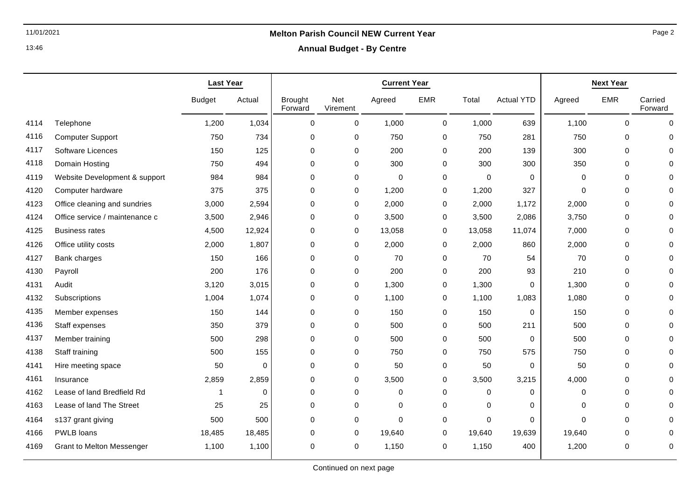**Annual Budget - By Centre**

|      |                                  | <b>Last Year</b> |             |                           |                 |             | <b>Current Year</b> |             |                   |          | <b>Next Year</b> |                    |  |
|------|----------------------------------|------------------|-------------|---------------------------|-----------------|-------------|---------------------|-------------|-------------------|----------|------------------|--------------------|--|
|      |                                  | <b>Budget</b>    | Actual      | <b>Brought</b><br>Forward | Net<br>Virement | Agreed      | <b>EMR</b>          | Total       | <b>Actual YTD</b> | Agreed   | <b>EMR</b>       | Carried<br>Forward |  |
| 4114 | Telephone                        | 1,200            | 1,034       | 0                         | 0               | 1,000       | 0                   | 1,000       | 639               | 1,100    | $\Omega$         | 0                  |  |
| 4116 | <b>Computer Support</b>          | 750              | 734         | 0                         | 0               | 750         | $\pmb{0}$           | 750         | 281               | 750      | 0                | $\Omega$           |  |
| 4117 | Software Licences                | 150              | 125         | 0                         | 0               | 200         | $\mathbf 0$         | 200         | 139               | 300      | 0                | ∩                  |  |
| 4118 | Domain Hosting                   | 750              | 494         | $\Omega$                  | 0               | 300         | $\mathbf 0$         | 300         | 300               | 350      | $\Omega$         |                    |  |
| 4119 | Website Development & support    | 984              | 984         | 0                         | 0               | 0           | 0                   | 0           | $\Omega$          | 0        | 0                | $\Omega$           |  |
| 4120 | Computer hardware                | 375              | 375         | 0                         | 0               | 1,200       | $\pmb{0}$           | 1,200       | 327               | 0        | 0                | $\Omega$           |  |
| 4123 | Office cleaning and sundries     | 3,000            | 2,594       | $\mathbf 0$               | 0               | 2,000       | $\pmb{0}$           | 2,000       | 1,172             | 2,000    | $\mathbf 0$      | $\Omega$           |  |
| 4124 | Office service / maintenance c   | 3,500            | 2,946       | 0                         | 0               | 3,500       | 0                   | 3,500       | 2,086             | 3,750    | 0                | $\Omega$           |  |
| 4125 | <b>Business rates</b>            | 4,500            | 12,924      | 0                         | 0               | 13,058      | $\pmb{0}$           | 13,058      | 11,074            | 7,000    | 0                | 0                  |  |
| 4126 | Office utility costs             | 2,000            | 1,807       | 0                         | 0               | 2,000       | $\pmb{0}$           | 2,000       | 860               | 2,000    | $\mathbf 0$      | $\Omega$           |  |
| 4127 | Bank charges                     | 150              | 166         | 0                         | 0               | 70          | $\pmb{0}$           | 70          | 54                | 70       | 0                | $\Omega$           |  |
| 4130 | Payroll                          | 200              | 176         | $\pmb{0}$                 | 0               | 200         | $\mathbf 0$         | 200         | 93                | 210      | $\pmb{0}$        | $\Omega$           |  |
| 4131 | Audit                            | 3,120            | 3,015       | 0                         | 0               | 1,300       | 0                   | 1,300       | 0                 | 1,300    | 0                | $\Omega$           |  |
| 4132 | Subscriptions                    | 1,004            | 1,074       | 0                         | 0               | 1,100       | $\mathbf 0$         | 1,100       | 1,083             | 1,080    | 0                | 0                  |  |
| 4135 | Member expenses                  | 150              | 144         | 0                         | 0               | 150         | $\pmb{0}$           | 150         | $\mathbf 0$       | 150      | 0                | $\Omega$           |  |
| 4136 | Staff expenses                   | 350              | 379         | 0                         | 0               | 500         | 0                   | 500         | 211               | 500      | 0                | $\Omega$           |  |
| 4137 | Member training                  | 500              | 298         | $\mathbf 0$               | 0               | 500         | $\mathbf 0$         | 500         | $\mathbf 0$       | 500      | $\mathbf 0$      | $\Omega$           |  |
| 4138 | Staff training                   | 500              | 155         | $\mathbf 0$               | 0               | 750         | $\mathbf 0$         | 750         | 575               | 750      | $\mathbf 0$      | $\Omega$           |  |
| 4141 | Hire meeting space               | 50               | $\mathbf 0$ | $\mathbf 0$               | 0               | 50          | $\mathbf 0$         | 50          | $\mathbf 0$       | 50       | 0                | $\Omega$           |  |
| 4161 | Insurance                        | 2,859            | 2,859       | $\mathbf 0$               | 0               | 3,500       | $\mathbf 0$         | 3,500       | 3,215             | 4,000    | $\mathbf 0$      | $\Omega$           |  |
| 4162 | Lease of land Bredfield Rd       | 1                | 0           | $\pmb{0}$                 | 0               | $\pmb{0}$   | 0                   | 0           | 0                 | 0        | 0                | $\Omega$           |  |
| 4163 | Lease of land The Street         | 25               | 25          | $\mathbf 0$               | 0               | 0           | $\mathbf 0$         | $\mathbf 0$ | 0                 | 0        | 0                | $\Omega$           |  |
| 4164 | s137 grant giving                | 500              | 500         | $\mathbf 0$               | 0               | $\mathbf 0$ | $\mathbf 0$         | $\mathbf 0$ | $\mathbf 0$       | $\Omega$ | $\mathbf 0$      | $\Omega$           |  |
| 4166 | PWLB loans                       | 18,485           | 18,485      | 0                         | 0               | 19,640      | 0                   | 19,640      | 19,639            | 19,640   | 0                | 0                  |  |
| 4169 | <b>Grant to Melton Messenger</b> | 1,100            | 1,100       | $\mathbf 0$               | 0               | 1,150       | $\mathbf 0$         | 1,150       | 400               | 1,200    | $\mathbf 0$      | 0                  |  |

Page 2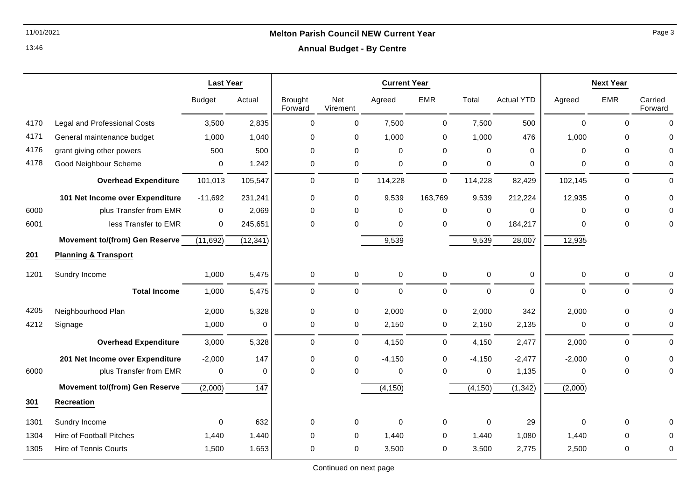### **Annual Budget - By Centre**

|      |                                       | <b>Last Year</b> |           |                           |                 | <b>Next Year</b> |             |             |                   |             |             |                    |
|------|---------------------------------------|------------------|-----------|---------------------------|-----------------|------------------|-------------|-------------|-------------------|-------------|-------------|--------------------|
|      |                                       | <b>Budget</b>    | Actual    | <b>Brought</b><br>Forward | Net<br>Virement | Agreed           | <b>EMR</b>  | Total       | <b>Actual YTD</b> | Agreed      | <b>EMR</b>  | Carried<br>Forward |
| 4170 | <b>Legal and Professional Costs</b>   | 3,500            | 2,835     | 0                         | 0               | 7,500            | 0           | 7,500       | 500               | $\mathbf 0$ | $\Omega$    | $\Omega$           |
| 4171 | General maintenance budget            | 1,000            | 1,040     | 0                         | 0               | 1,000            | 0           | 1,000       | 476               | 1,000       | 0           | $\Omega$           |
| 4176 | grant giving other powers             | 500              | 500       | $\Omega$                  | 0               | 0                | 0           | $\mathbf 0$ | $\Omega$          | $\Omega$    | $\Omega$    | $\Omega$           |
| 4178 | Good Neighbour Scheme                 | 0                | 1,242     | 0                         | 0               | $\pmb{0}$        | $\pmb{0}$   | $\pmb{0}$   | 0                 | 0           | 0           | 0                  |
|      | <b>Overhead Expenditure</b>           | 101,013          | 105,547   | $\mathbf 0$               | 0               | 114,228          | 0           | 114,228     | 82,429            | 102,145     | $\mathbf 0$ | $\Omega$           |
|      | 101 Net Income over Expenditure       | $-11,692$        | 231,241   | 0                         | 0               | 9,539            | 163,769     | 9,539       | 212,224           | 12,935      | 0           | $\Omega$           |
| 6000 | plus Transfer from EMR                | 0                | 2,069     | 0                         | 0               | 0                | $\mathbf 0$ | $\mathbf 0$ | $\Omega$          | 0           | $\mathbf 0$ | U                  |
| 6001 | less Transfer to EMR                  | 0                | 245,651   | $\Omega$                  | 0               | 0                | $\Omega$    | $\mathbf 0$ | 184,217           | 0           | 0           | 0                  |
|      | <b>Movement to/(from) Gen Reserve</b> | (11,692)         | (12, 341) |                           |                 | 9,539            |             | 9,539       | 28,007            | 12,935      |             |                    |
| 201  | <b>Planning &amp; Transport</b>       |                  |           |                           |                 |                  |             |             |                   |             |             |                    |
| 1201 | Sundry Income                         | 1,000            | 5,475     | 0                         | 0               | 0                | $\pmb{0}$   | $\pmb{0}$   | 0                 | 0           | 0           | $\Omega$           |
|      | <b>Total Income</b>                   | 1,000            | 5,475     | $\Omega$                  | 0               | $\mathbf 0$      | $\mathbf 0$ | $\mathbf 0$ | $\Omega$          | 0           | $\Omega$    | $\Omega$           |
| 4205 | Neighbourhood Plan                    | 2,000            | 5,328     | 0                         | 0               | 2,000            | 0           | 2,000       | 342               | 2,000       | $\mathbf 0$ | 0                  |
| 4212 | Signage                               | 1,000            | $\Omega$  | 0                         | 0               | 2,150            | 0           | 2,150       | 2,135             | 0           | 0           | $\Omega$           |
|      | <b>Overhead Expenditure</b>           | 3,000            | 5,328     | $\Omega$                  | 0               | 4,150            | 0           | 4,150       | 2,477             | 2,000       | $\Omega$    | $\Omega$           |
|      | 201 Net Income over Expenditure       | $-2,000$         | 147       | 0                         | 0               | $-4,150$         | 0           | $-4,150$    | $-2,477$          | $-2,000$    | 0           | $\Omega$           |
| 6000 | plus Transfer from EMR                | 0                | 0         | 0                         | 0               | 0                | 0           | 0           | 1,135             | 0           | 0           | 0                  |
|      | <b>Movement to/(from) Gen Reserve</b> | (2,000)          | 147       |                           |                 | (4, 150)         |             | (4, 150)    | (1, 342)          | (2,000)     |             |                    |
| 301  | <b>Recreation</b>                     |                  |           |                           |                 |                  |             |             |                   |             |             |                    |
| 1301 | Sundry Income                         | 0                | 632       | 0                         | 0               | 0                | 0           | $\mathbf 0$ | 29                | 0           | 0           | ∩                  |
| 1304 | <b>Hire of Football Pitches</b>       | 1,440            | 1,440     | 0                         | 0               | 1,440            | 0           | 1,440       | 1,080             | 1,440       | 0           |                    |
| 1305 | <b>Hire of Tennis Courts</b>          | 1,500            | 1,653     | $\Omega$                  | 0               | 3,500            | 0           | 3,500       | 2,775             | 2,500       | 0           | 0                  |

Continued on next page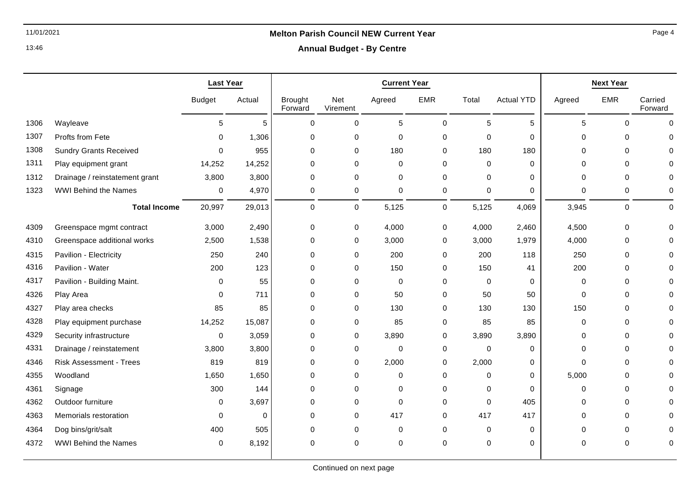### **Annual Budget - By Centre**

|      |                                | <b>Last Year</b> |          |                           |                 | <b>Current Year</b> | <b>Next Year</b> |             |                   |          |             |                    |
|------|--------------------------------|------------------|----------|---------------------------|-----------------|---------------------|------------------|-------------|-------------------|----------|-------------|--------------------|
|      |                                | <b>Budget</b>    | Actual   | <b>Brought</b><br>Forward | Net<br>Virement | Agreed              | <b>EMR</b>       | Total       | <b>Actual YTD</b> | Agreed   | <b>EMR</b>  | Carried<br>Forward |
| 1306 | Wayleave                       | 5                | 5        | $\Omega$                  | $\mathbf 0$     | 5                   | $\mathbf 0$      | 5           | 5                 | 5        | $\Omega$    | $\Omega$           |
| 1307 | Profts from Fete               | $\Omega$         | 1,306    | $\Omega$                  | 0               | 0                   | 0                | $\mathbf 0$ | $\Omega$          | $\Omega$ | $\Omega$    |                    |
| 1308 | <b>Sundry Grants Received</b>  | $\Omega$         | 955      | $\mathbf 0$               | $\mathbf 0$     | 180                 | 0                | 180         | 180               | $\Omega$ | $\Omega$    |                    |
| 1311 | Play equipment grant           | 14,252           | 14,252   | $\Omega$                  | $\Omega$        | $\Omega$            | $\Omega$         | $\Omega$    | $\Omega$          | $\Omega$ | $\Omega$    |                    |
| 1312 | Drainage / reinstatement grant | 3,800            | 3,800    | $\mathbf 0$               | $\mathbf 0$     | $\mathbf 0$         | 0                | $\Omega$    | 0                 | 0        | $\Omega$    |                    |
| 1323 | <b>WWI Behind the Names</b>    | 0                | 4,970    | 0                         | 0               | 0                   | 0                | 0           | 0                 | 0        | 0           | O                  |
|      | <b>Total Income</b>            | 20,997           | 29,013   | 0                         | 0               | 5,125               | $\mathbf 0$      | 5,125       | 4,069             | 3,945    | 0           | $\Omega$           |
| 4309 | Greenspace mgmt contract       | 3,000            | 2,490    | 0                         | $\mathbf 0$     | 4,000               | 0                | 4,000       | 2,460             | 4,500    | $\mathbf 0$ |                    |
| 4310 | Greenspace additional works    | 2,500            | 1,538    | 0                         | $\mathbf 0$     | 3,000               | 0                | 3,000       | 1,979             | 4,000    | $\mathbf 0$ |                    |
| 4315 | Pavilion - Electricity         | 250              | 240      | $\mathbf 0$               | $\mathbf 0$     | 200                 | 0                | 200         | 118               | 250      | $\mathbf 0$ |                    |
| 4316 | Pavilion - Water               | 200              | 123      | $\mathbf 0$               | $\mathbf 0$     | 150                 | 0                | 150         | 41                | 200      | $\Omega$    |                    |
| 4317 | Pavilion - Building Maint.     | 0                | 55       | $\Omega$                  | $\Omega$        | $\mathbf 0$         | $\Omega$         | $\Omega$    | $\Omega$          | $\Omega$ | $\Omega$    |                    |
| 4326 | Play Area                      | $\Omega$         | 711      | $\Omega$                  | $\mathbf 0$     | 50                  | 0                | 50          | 50                | 0        | $\Omega$    |                    |
| 4327 | Play area checks               | 85               | 85       | $\mathbf 0$               | $\mathbf 0$     | 130                 | 0                | 130         | 130               | 150      | $\Omega$    |                    |
| 4328 | Play equipment purchase        | 14,252           | 15,087   | $\mathbf 0$               | $\mathbf 0$     | 85                  | 0                | 85          | 85                | 0        | $\Omega$    |                    |
| 4329 | Security infrastructure        | $\Omega$         | 3,059    | 0                         | $\mathbf 0$     | 3,890               | 0                | 3,890       | 3,890             | 0        | $\Omega$    |                    |
| 4331 | Drainage / reinstatement       | 3,800            | 3,800    | 0                         | 0               | $\mathbf 0$         | 0                | $\mathbf 0$ | 0                 | $\Omega$ | $\Omega$    |                    |
| 4346 | <b>Risk Assessment - Trees</b> | 819              | 819      | $\Omega$                  | $\mathbf 0$     | 2,000               | 0                | 2,000       | 0                 | $\Omega$ | $\Omega$    |                    |
| 4355 | Woodland                       | 1,650            | 1,650    | $\mathbf 0$               | $\mathbf 0$     | $\mathbf 0$         | 0                | $\Omega$    | 0                 | 5,000    | $\mathbf 0$ |                    |
| 4361 | Signage                        | 300              | 144      | $\mathbf 0$               | $\mathbf 0$     | 0                   | $\Omega$         | $\Omega$    | $\Omega$          | $\Omega$ | $\Omega$    |                    |
| 4362 | Outdoor furniture              | 0                | 3,697    | 0                         | $\mathbf 0$     | $\mathbf 0$         | 0                | $\mathbf 0$ | 405               | 0        | 0           |                    |
| 4363 | Memorials restoration          | 0                | $\Omega$ | $\mathbf 0$               | $\mathbf 0$     | 417                 | 0                | 417         | 417               | 0        | $\mathbf 0$ |                    |
| 4364 | Dog bins/grit/salt             | 400              | 505      | $\Omega$                  | $\Omega$        | $\mathbf 0$         | $\Omega$         | $\Omega$    | $\mathbf 0$       | $\Omega$ | 0           |                    |
| 4372 | <b>WWI Behind the Names</b>    | 0                | 8,192    | $\Omega$                  | $\Omega$        | $\mathbf 0$         | $\mathbf 0$      | $\mathbf 0$ | 0                 | $\Omega$ | 0           | 0                  |